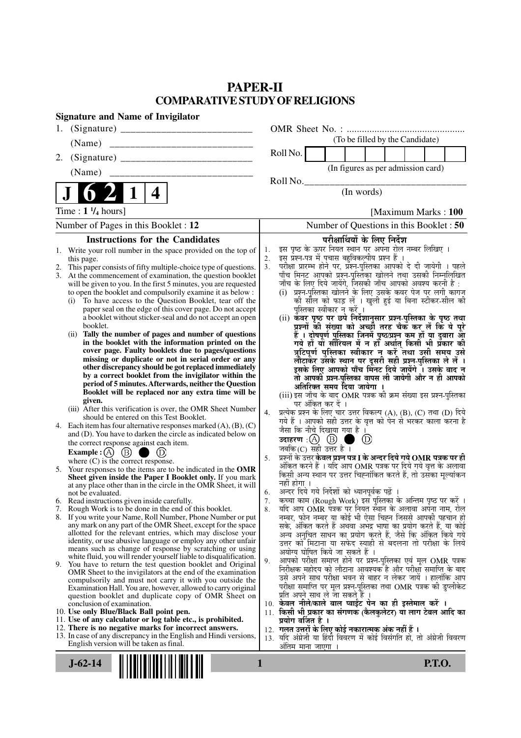## **PAPER-II COMPARATIVE STUDY OF RELIGIONS**

| <b>Signature and Name of Invigilator</b>                                                                                          |                                                                                                                                                     |
|-----------------------------------------------------------------------------------------------------------------------------------|-----------------------------------------------------------------------------------------------------------------------------------------------------|
| 1.                                                                                                                                |                                                                                                                                                     |
| (Name)                                                                                                                            | (To be filled by the Candidate)                                                                                                                     |
| 2.                                                                                                                                | Roll No.                                                                                                                                            |
| (Name)                                                                                                                            | (In figures as per admission card)                                                                                                                  |
|                                                                                                                                   | Roll No.<br>(In words)                                                                                                                              |
| 4                                                                                                                                 |                                                                                                                                                     |
| Time : $1 \frac{1}{4}$ hours]                                                                                                     | [Maximum Marks: 100]                                                                                                                                |
| Number of Pages in this Booklet : 12                                                                                              | Number of Questions in this Booklet: 50                                                                                                             |
| <b>Instructions for the Candidates</b>                                                                                            | परीक्षार्थियों के लिए निर्देश                                                                                                                       |
| 1. Write your roll number in the space provided on the top of                                                                     | इस पृष्ठ के ऊपर नियत स्थान पर अपना रोल नम्बर लिखिए ।<br>इस् प्रश्न-पत्र में पुचास बहुविकल्पीय प्रश्न हैं ।<br>1.                                    |
| this page.<br>This paper consists of fifty multiple-choice type of questions.                                                     | 2.<br>3 <sub>1</sub>                                                                                                                                |
| At the commencement of examination, the question booklet                                                                          | .<br>परीक्षा प्रारम्भ होने पर, प्रश्न-पुस्तिका आपको दे दी जायेगी । पहले<br>पाँच मिनट आपको प्रश्न-पुस्तिका खोलने तथा उसकी निम्नलिखित                 |
| will be given to you. In the first 5 minutes, you are requested                                                                   | जाँच के लिए दिये जायेंगे, जिसकी जाँच आपको अवश्य करनी है :                                                                                           |
| to open the booklet and compulsorily examine it as below :<br>(i) To have access to the Question Booklet, tear off the            | (i) प्रश्न-पुरितका खोलने के लिए उसके कवर पेज पर लगी कागज<br>की सील को फाड़ लें । खुली हुई या बिना स्टीकर-सील की                                     |
| paper seal on the edge of this cover page. Do not accept                                                                          | पुस्तिका स्वीकार न करें ।                                                                                                                           |
| a booklet without sticker-seal and do not accept an open                                                                          | (ii) कवर पृष्ठ पर छपे निर्देशानुसार प्रश्न-पुस्तिका के पृष्ठ तथा                                                                                    |
| booklet.                                                                                                                          | प्रश्नों की संख्या को अच्छों तरह चैक कर लें कि ये पूरे                                                                                              |
| (ii) Tally the number of pages and number of questions<br>in the booklet with the information printed on the                      | हैं । दोषपूर्ण पुस्तिका जिनमें पृष्ठ/प्रश्न कम हों या दुबारा आ<br>गये हों या सीरियल में न हो अर्थात् किसी भी प्रकार की                              |
| cover page. Faulty booklets due to pages/questions                                                                                | त्रुटिपूर्ण पुस्तिका स्वीकार न करें तथा उसी समय उसे                                                                                                 |
| missing or duplicate or not in serial order or any                                                                                | लौटाकर उसके स्थान पर दूसरी सही प्रश्न-पुस्तिका ले लें ।                                                                                             |
| other discrepancy should be got replaced immediately<br>by a correct booklet from the invigilator within the                      | इसके लिए आपको पाँच मिंनट दिये जायेंगे । उसके बाद न<br>तो आपकी प्रश्न-पुस्तिका वापस ली जायेगी और न ही आपको                                           |
| period of 5 minutes. Afterwards, neither the Question                                                                             | अतिरिक्त समय दिया जायेगा ।                                                                                                                          |
| Booklet will be replaced nor any extra time will be                                                                               | (iii) इस जाँच के बाद OMR पत्रक की क्रम संख्या इस प्रश्न-पुस्तिका                                                                                    |
| given.<br>(iii) After this verification is over, the OMR Sheet Number                                                             | पर अंकित कर दें ।                                                                                                                                   |
| should be entered on this Test Booklet.                                                                                           | प्रत्येक प्रश्न के लिए चार उत्तर विकल्प (A), (B), (C) तथा (D) दिये<br>4.<br>गये हैं । आपको सही उत्तर के वृत्त को पेन से भरकर काला करना है           |
| 4. Each item has four alternative responses marked $(A)$ , $(B)$ , $(C)$                                                          | जैसा कि नीचे दिखाया गया है ।                                                                                                                        |
| and (D). You have to darken the circle as indicated below on<br>the correct response against each item.                           | $\circled{D}$<br>. .                                                                                                                                |
| Example : $(A)$ $(B)$ (<br>(D)                                                                                                    | जबकि (C) सही उत्तर है $\overline{1}$                                                                                                                |
| where $(C)$ is the correct response.                                                                                              | प्रश्नों के उत्तर <b>केवल प्रश्न पत्र I के अन्दर दिये गये OMR पत्रक पर ही</b><br>5.<br>अंकित करने हैं । यदि आप OMR पत्रक पर दिये गये वृत्त के अलावा |
| 5. Your responses to the items are to be indicated in the OMR                                                                     | किसी अन्य स्थान पर उत्तर चिह्नांकित करते हैं, तो उसँका मूल्यांकन                                                                                    |
| Sheet given inside the Paper I Booklet only. If you mark<br>at any place other than in the circle in the OMR Sheet, it will       | नहीं होगा ।                                                                                                                                         |
| not be evaluated.                                                                                                                 | अन्दर दिये गये निर्देशों को ध्यानपूर्वक पढ़ें ।<br>6.                                                                                               |
| 6. Read instructions given inside carefully.<br>7. Rough Work is to be done in the end of this booklet.                           | कच्चा काम (Rough Work) इस पुस्तिका के अन्तिम पृष्ठ पर करें ।<br>7.<br>यदि आप OMR पत्रक पर नियत स्थान के अलावा अपना नाम, रोल<br>8.                   |
| 8. If you write your Name, Roll Number, Phone Number or put                                                                       | नम्बर, फोन नम्बर या कोई भी ऐसा चिह्न जिससे आपकी पहचान हो                                                                                            |
| any mark on any part of the OMR Sheet, except for the space                                                                       | सके, अंकित करते हैं अथवा अभद्र भाषा का प्रयोग करते हैं, या कोई                                                                                      |
| allotted for the relevant entries, which may disclose your<br>identity, or use abusive language or employ any other unfair        | अन्य अनुचित साधन का प्रयोग करते हैं, जैसे कि अंकित किये गये<br>उत्तर को मिटाना या सफेद स्याही से बदलना तो परीक्षा के लिये                           |
| means such as change of response by scratching or using                                                                           | अयोग्य घोषित किये जा सकते हैं ।                                                                                                                     |
| white fluid, you will render yourself liable to disqualification.<br>9. You have to return the test question booklet and Original | आपको परीक्षा समाप्त होने पर प्रश्न-पुस्तिका एवं मूल OMR पत्रक<br>9.                                                                                 |
| OMR Sheet to the invigilators at the end of the examination                                                                       | निरीक्षक महोदय को लौटाना आवश्यक है और परीक्षा समाप्ति के बाद                                                                                        |
| compulsorily and must not carry it with you outside the                                                                           | उसे अपने साथ परीक्षा भवन से बाहर न लेकर जायें । हालांकि आप<br>परीक्षा समाप्ति पर मूल प्रश्न-पुस्तिका तथा OMR पत्रक की डुप्लीकेट                     |
| Examination Hall. You are, however, allowed to carry original<br>question booklet and duplicate copy of OMR Sheet on              | प्रति अपने साथ ले जा सकते हैं ।                                                                                                                     |
| conclusion of examination.                                                                                                        | 10. केवल नीले/काले बाल प्वाईंट पेन का ही इस्तेमाल करें ।                                                                                            |
| 10. Use only Blue/Black Ball point pen.<br>11. Use of any calculator or log table etc., is prohibited.                            | 11. किसी भी प्रकार का संगणक (कैलकुलेटर) या लाग टेबल आदि का<br>प्रयोग वर्जित है ।                                                                    |
| 12. There is no negative marks for incorrect answers.                                                                             | 12.  गलत उत्तरों के लिए कोई नकारात्मक अंक नहीं हैं ।                                                                                                |
| 13. In case of any discrepancy in the English and Hindi versions,                                                                 | यदि अंग्रेजी या हिंदी विवरण में कोई विसंगति हो, तो अंग्रेजी विवरण<br>13.                                                                            |
| English version will be taken as final.                                                                                           | अंतिम माना जाएगा                                                                                                                                    |
| 1<br>$J-62-14$                                                                                                                    | <b>P.T.O.</b>                                                                                                                                       |
|                                                                                                                                   |                                                                                                                                                     |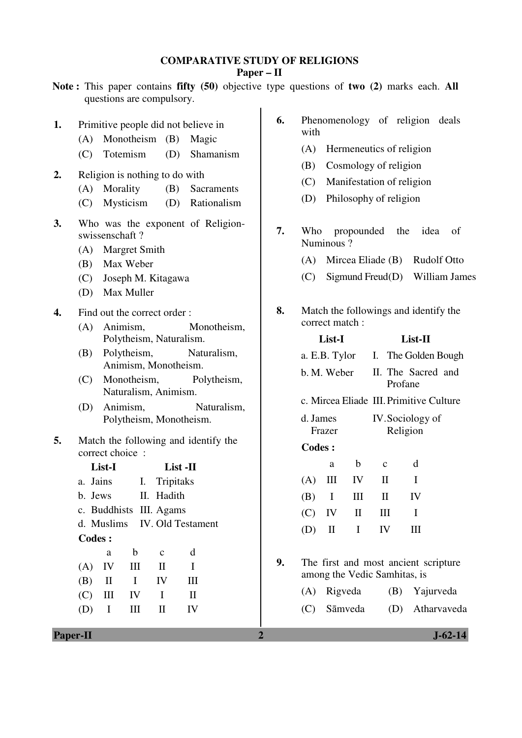### **COMPARATIVE STUDY OF RELIGIONS**

**Paper – II** 

- **Note :** This paper contains **fifty (50)** objective type questions of **two (2)** marks each. **All** questions are compulsory.
- **1.** Primitive people did not believe in
	- (A) Monotheism (B) Magic
	- (C) Totemism (D) Shamanism
- **2.** Religion is nothing to do with
	- (A) Morality (B) Sacraments
	- (C) Mysticism (D) Rationalism
- **3.** Who was the exponent of Religionswissenschaft ?
	- (A) Margret Smith
	- (B) Max Weber
	- (C) Joseph M. Kitagawa
	- (D) Max Muller
- **4.** Find out the correct order :
	- (A) Animism, Monotheism, Polytheism, Naturalism.
	- (B) Polytheism, Naturalism, Animism, Monotheism.
	- (C) Monotheism, Polytheism, Naturalism, Animism.
	- (D) Animism, Naturalism, Polytheism, Monotheism.
- **5.** Match the following and identify the correct choice :

|     | List-I   |    |                              | List -II |  |
|-----|----------|----|------------------------------|----------|--|
|     | a. Jains |    | I. Tripitaks                 |          |  |
|     | b. Jews  |    | II. Hadith                   |          |  |
|     |          |    | c. Buddhists III. Agams      |          |  |
|     |          |    | d. Muslims IV. Old Testament |          |  |
|     | Codes:   |    |                              |          |  |
|     | a        | b  | $\mathbf c$                  | d        |  |
| (A) | IV       | Ш  | H                            | T        |  |
| (B) | $\rm II$ | L  | IV                           | Ш        |  |
| (C) | Ш        | IV | I                            | H        |  |
|     | $\bf{I}$ |    | П                            | 1V       |  |
|     |          |    |                              |          |  |

- **6.** Phenomenology of religion deals with
	- (A) Hermeneutics of religion
	- (B) Cosmology of religion
	- (C) Manifestation of religion
	- (D) Philosophy of religion
- **7.** Who propounded the idea of Numinous ?
	- (A) Mircea Eliade (B) Rudolf Otto
	- $(C)$  Sigmund Freud $(D)$  William James
- **8.** Match the followings and identify the correct match :

|    | List-I                                                               |              |              |                                   | List-II                                   |                                         |  |  |  |  |
|----|----------------------------------------------------------------------|--------------|--------------|-----------------------------------|-------------------------------------------|-----------------------------------------|--|--|--|--|
|    |                                                                      |              |              | a. E.B. Tylor I. The Golden Bough |                                           |                                         |  |  |  |  |
|    |                                                                      |              |              |                                   | b. M. Weber II. The Sacred and<br>Profane |                                         |  |  |  |  |
|    |                                                                      |              |              |                                   |                                           | c. Mircea Eliade III. Primitive Culture |  |  |  |  |
|    | d. James<br>Frazer                                                   |              |              |                                   | IV. Sociology of<br>Religion              |                                         |  |  |  |  |
|    | <b>Codes:</b>                                                        |              |              |                                   |                                           |                                         |  |  |  |  |
|    |                                                                      | a            | b            |                                   | $\mathbf{C}$                              | d                                       |  |  |  |  |
|    | $(A)$ III                                                            |              | $\mathbf{I}$ |                                   | $\mathbf{I}$                              | I                                       |  |  |  |  |
|    | $(B)$ I                                                              |              | Ш            |                                   | $\mathbf{I}$                              | IV                                      |  |  |  |  |
|    | $(C)$ IV                                                             |              | H            |                                   | Ш                                         | I                                       |  |  |  |  |
|    | (D)                                                                  | $\mathbf{I}$ | L            |                                   | IV                                        | Ш                                       |  |  |  |  |
|    |                                                                      |              |              |                                   |                                           |                                         |  |  |  |  |
| 9. | The first and most ancient scripture<br>among the Vedic Samhitas, is |              |              |                                   |                                           |                                         |  |  |  |  |
|    | (A)                                                                  | Rigveda      |              |                                   |                                           | (B) Yajurveda                           |  |  |  |  |
|    |                                                                      | (C) Sāmveda  |              |                                   |                                           | (D) Atharvaveda                         |  |  |  |  |
|    |                                                                      |              |              |                                   |                                           |                                         |  |  |  |  |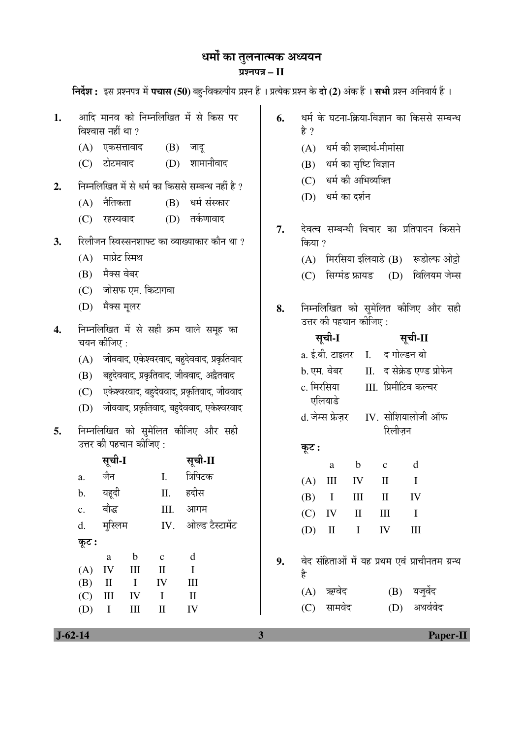# धर्मों का तुलनात्मक अध्ययन ¯ÖÏ¿®Ö¯Ö¡Ö **– II**

 $\hat{h}$ र्वेश : इस प्रश्नपत्र में पचास (50) बहु-विकल्पीय प्रश्न हैं । प्रत्येक प्रश्न के **दो (2**) अंक हैं । सभी प्रश्न अनिवार्य हैं ।

|    | विश्वास नहीं था ?                                                                  |                             | v.  | हे ?        |                        |                               | $\sim$ 11-121/71-1991 1-71/1-171/1/1  |              |
|----|------------------------------------------------------------------------------------|-----------------------------|-----|-------------|------------------------|-------------------------------|---------------------------------------|--------------|
|    | (A)<br>एकसत्तावाद                                                                  | (B)<br>जादू                 |     | (A)         |                        |                               | धर्म की शब्दार्थ-मीमांसा              |              |
|    | टोटमवाद<br>(C)                                                                     | शामानीवाद<br>(D)            |     | (B)         |                        | धर्म का सृष्टि विज्ञान        |                                       |              |
|    |                                                                                    |                             |     | (C)         |                        | धर्म की अभिव्यक्ति            |                                       |              |
| 2. | निम्नलिखित में से धर्म का किससे सम्बन्ध नहीं है ?                                  |                             |     | (D)         |                        | धर्म का दर्शन                 |                                       |              |
|    | नैतिकता<br>(A)                                                                     | (B) धर्म संस्कार            |     |             |                        |                               |                                       |              |
|    | (C)<br>रहस्यवाद                                                                    | (D) तर्कणावाद               | 7.  |             |                        |                               | देवत्व सम्बन्धी विचार का प्रतिपादन    |              |
| 3. | रिलीजन स्विस्सनशाफ्ट का व्याख्याकार कौन था ?                                       |                             |     | किया ?      |                        |                               |                                       |              |
|    | माग्रेट स्मिथ<br>(A)                                                               |                             |     | (A)         |                        |                               | मिरसिया इलियाडे (B)                   | रूडो         |
|    | मैक्स वेबर<br>(B)                                                                  |                             | (C) |             |                        | सिग्मंड फ्रायड (D)            | विलि                                  |              |
|    | जोसफ एम. किटागवा<br>(C)                                                            |                             |     |             |                        |                               |                                       |              |
|    | (D)<br>मैक्स मूलर                                                                  |                             | 8.  |             |                        |                               | निम्नलिखित को सुमेलित कीजिए उ         |              |
|    |                                                                                    |                             |     |             | उत्तर की पहचान कीजिए : |                               |                                       |              |
| 4. | निम्नलिखित में से सही क्रम वाले समूह का<br>चयन कीजिए :                             |                             |     | सूची-I      |                        |                               | सूची-II                               |              |
|    | जीववाद, एकेश्वरवाद, बहुदेववाद, प्रकृतिवाद<br>(A)                                   |                             |     |             |                        | a. ई.बी. टाइलर I. द गोल्डन बो |                                       |              |
|    | बहुदेववाद, प्रकृतिवाद, जीववाद, अद्वैतवाद<br>(B)                                    |                             |     | b. एम. वेबर |                        | II. द सेक्रेड एण्ड            |                                       |              |
|    | (C) एकेश्वरवाद, बहुदेववाद, प्रकृतिवाद, जीववाद                                      |                             |     | c. मिरसिया  |                        | III. प्रिमीटिव कल्च           |                                       |              |
|    | जीववाद, प्रकृतिवाद, बहुदेववाद, एकेश्वरवाद<br>(D)                                   |                             |     | एलियाडे     |                        |                               |                                       |              |
|    |                                                                                    |                             |     |             |                        |                               | d. जेम्स फ्रेज़र IV. सोशियालोजी       |              |
| 5. | निम्नलिखित को सुमेलित कीजिए और सही                                                 |                             |     |             |                        |                               | रिलीज़न                               |              |
|    | उत्तर की पहचान कीजिए :                                                             |                             |     | कूट :       |                        |                               |                                       |              |
|    | सूची-I                                                                             | सूची-II                     |     |             | a                      | $\mathbf b$                   | $\mathbf{C}$                          | $\mathbf d$  |
|    | जैन<br>a.                                                                          | त्रिपिटक<br>I.              |     | (A)         | Ш                      | IV                            | $\mathbf{I}$                          | $\mathbf I$  |
|    | यहूदी<br>b.                                                                        | हदीस<br>П.                  |     | (B)         | $\bf{I}$               | III                           | $\mathbf{I}$                          | IV           |
|    | बौद्ध<br>$\mathbf{C}$ .                                                            | Ш.<br>आगम                   |     |             | $(C)$ IV               | $\mathbf{II}$                 | $\rm III$                             | $\mathbf{I}$ |
|    | d.                                                                                 | मुस्लिम IV. ओल्ड टैस्टामेंट |     | (D)         | $\mathbf{I}$           | $\mathbf{I}$                  | IV                                    | $\rm III$    |
|    | कूट :                                                                              |                             |     |             |                        |                               |                                       |              |
|    | $\mathbf b$<br>$\mathbf c$<br>a                                                    | d                           | 9.  |             |                        |                               | वेद संहिताओं में यह प्रथम एवं प्राचीन |              |
|    | IV<br>$\rm III$<br>(A)<br>$\mathbf{I}$<br>(B)<br>$\mathbf{I}$<br>$\mathbf I$<br>IV | $\mathbf I$<br>Ш            |     | है          |                        |                               |                                       |              |
|    | (C)<br>$\mathop{\rm III}$<br>IV<br>$\mathbf I$                                     | $\mathop{\rm II}\nolimits$  |     |             | (A) ऋग्वेद             |                               | (B)                                   | यजुर्वे      |
|    | $\rm III$<br>(D)<br>$\mathbf I$<br>$\mathbf{I}$                                    | IV                          |     |             | (C) सामवेद             |                               | (D)                                   | अथव          |

**1.** आदि मानव को निम्नलिखित में से किस पर <mark>| 6.</mark> धर्म के घटना-क्रिया-विज्ञान का किससे सम्बन्ध

- 
- 
- $\overline{\rm m}$  प्रतिपादन किसने
	- (B) रूडोल्फ ओट्टो
		- $\overline{\mathrm{D}}$ ) विलियम जेम्स
- $\Phi$ जीजिए और सही

|    | सूचा-1      |              |              | सूचा-11               |                                                |  |  |  |
|----|-------------|--------------|--------------|-----------------------|------------------------------------------------|--|--|--|
|    |             |              |              |                       | a. ई.बी. टाइलर    I.     द गोल्डन बो           |  |  |  |
|    | b. एम. वेबर |              |              |                       | II. द सेक्रेड एण्ड प्रोफेन                     |  |  |  |
|    | c. मिरसिया  |              |              | III.  प्रिमीटिव कल्चर |                                                |  |  |  |
|    |             | एलियाडे      |              |                       |                                                |  |  |  |
|    |             |              |              |                       | d. जेम्स फ्रेजर     IV.  सोशियालोजी ऑफ         |  |  |  |
|    |             |              |              | रिलीज़न               |                                                |  |  |  |
|    | कूट :       |              |              |                       |                                                |  |  |  |
|    |             | a            | $\mathbf b$  | $\mathbf{C}$          | d                                              |  |  |  |
|    | (A)         |              | III IV       | $\mathbf{I}$          | $\mathbf I$                                    |  |  |  |
|    |             | $(B)$ I      | Ш            | $\mathbf{I}$          | $\mathbf{I}$                                   |  |  |  |
|    |             | $(C)$ IV     | $\mathbf{I}$ | $\mathop{\rm III}$    | $\mathbf I$                                    |  |  |  |
|    | (D)         | $\mathbf{I}$ | $\bf{I}$     | IV                    | Ш                                              |  |  |  |
|    |             |              |              |                       |                                                |  |  |  |
| 9. |             |              |              |                       | वेद संहिताओं में यह प्रथम एवं प्राचीनतम ग्रन्थ |  |  |  |
|    | है          |              |              |                       |                                                |  |  |  |
|    |             | (A) ऋग्वेद   |              |                       | (B) यजुर्वेद                                   |  |  |  |
|    |             | (C) सामवेद   |              |                       | (D) अथर्ववेद                                   |  |  |  |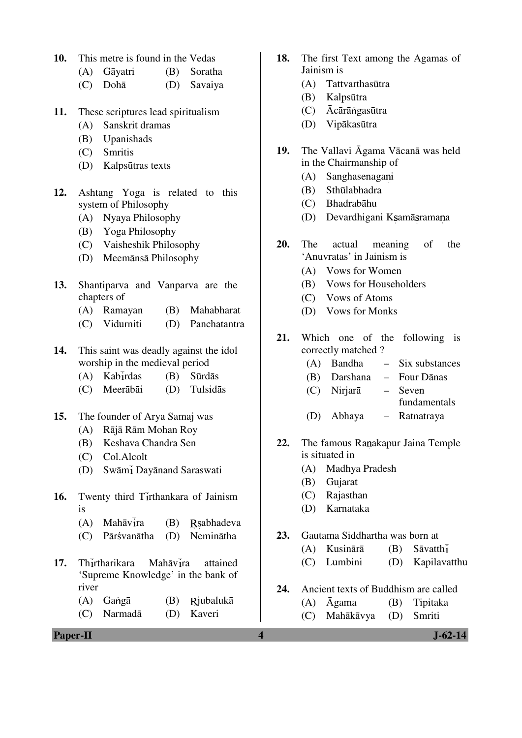- **10.** This metre is found in the Vedas
	- (A) Gāyatri (B) Soratha
	- (C) Dohā (D) Savaiya
- **11.** These scriptures lead spiritualism
	- (A) Sanskrit dramas
	- (B) Upanishads
	- (C) Smritis
	- (D) Kalpsūtras texts
- **12.** Ashtang Yoga is related to this system of Philosophy
	- (A) Nyaya Philosophy
	- (B) Yoga Philosophy
	- (C) Vaisheshik Philosophy
	- (D) Meemānsā Philosophy
- **13.** Shantiparva and Vanparva are the chapters of
	- (A) Ramayan (B) Mahabharat
	- (C) Vidurniti (D) Panchatantra
- **14.** This saint was deadly against the idol worship in the medieval period
	- $(A)$  Kabirdas  $(B)$  Sūrdās
	- (C) Meerābāi (D) Tulsidās
- **15.** The founder of Arya Samaj was
	- (A) Rājā Rām Mohan Roy
	- (B) Keshava Chandra Sen
	- (C) Col.Alcolt
	- (D) Swāmi Dayānand Saraswati
- 16. Twenty third Tirthankara of Jainism is
	- $(A)$  Mahāvīra  $(B)$  Rsabhadeva
	- (C) Pārśvanātha (D) Neminātha
- 17. Thirtharikara Mahāvira attained 'Supreme Knowledge' in the bank of river
	- (A) Gangā (B) Rjubalukā
	- (C) Narmadā (D) Kaveri
- **Paper-II** J-62-14
- **18.** The first Text among the Agamas of Jainism is
	- (A) Tattvarthasūtra
	- (B) Kalpsūtra
	- $(C)$   $\bar{A}$ cārā ngasūtra
	- (D) Vipākasūtra
- **19.** The Vallavi Āgama Vācanā was held in the Chairmanship of
	- (A) Sanghasenagani
	- (B) Sthūlabhadra
	- (C) Bhadrabāhu
	- (D) Devardhigani K samā srama na
- **20.** The actual meaning of the 'Anuvratas' in Jainism is
	- (A) Vows for Women
	- (B) Vows for Householders
	- (C) Vows of Atoms
	- (D) Vows for Monks
- **21.** Which one of the following is correctly matched ?
	- (A) Bandha Six substances
	- (B) Darshana Four Dānas
	- (C) Nirjarā Seven
		- fundamentals
	- (D) Abhaya Ratnatraya
- 22. The famous Ranakapur Jaina Temple is situated in
	- (A) Madhya Pradesh
	- (B) Gujarat
	- (C) Rajasthan
	- (D) Karnataka
- **23.** Gautama Siddhartha was born at
	- (A) Kusinārā (B) Sāvatth
	- (C) Lumbini (D) Kapilavatthu
- **24.** Ancient texts of Buddhism are called
	- (A) Āgama (B) Tipitaka
	- (C) Mahākāvya (D) Smriti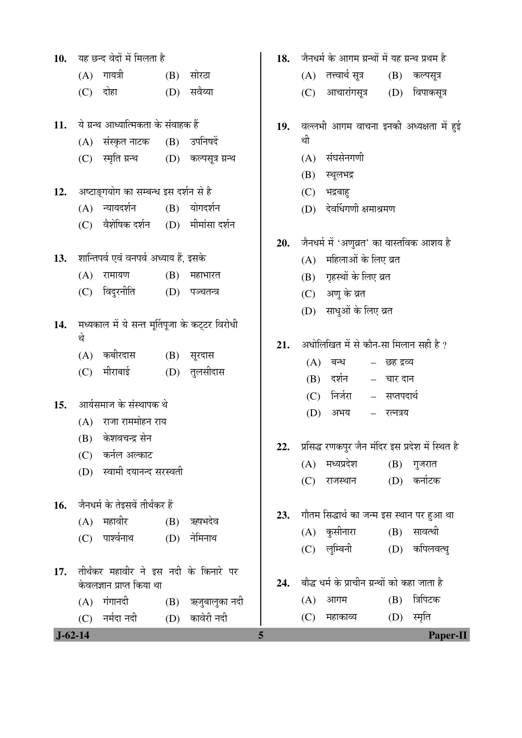| 10.           |     | यह छन्द वेदों में मिलता है                     |     |                                     | 18. | जैनधर्म के आगम ग्रन्थों में यह ग्रन्थ प्रथम है   |
|---------------|-----|------------------------------------------------|-----|-------------------------------------|-----|--------------------------------------------------|
|               |     | (A) गायत्री                                    |     | $(B)$ सोरठा                         |     | (A)   तत्त्वार्थ सूत्र<br>$(B)$ कल्पसूत्र        |
|               |     | $(C)$ दोहा                                     |     | $(D)$ सवैय्या                       |     | आचारांगसूत्र<br>(D) विपाकसूत्र<br>(C)            |
| 11.           |     | ये ग्रन्थ आध्यात्मिकता के संवाहक हैं           |     |                                     | 19. | वल्लभी आगम वाचना इनकी अध्यक्षता में हुई          |
|               |     | (A) संस्कृत नाटक                               |     | (B) उपनिषदें                        |     | थी                                               |
|               | (C) | स्मृति ग्रन्थ (D) कल्पसूत्र ग्रन्थ             |     |                                     |     | (A) संघसेनगणी                                    |
|               |     |                                                |     |                                     |     | (B)<br>स्थूलभद्र                                 |
| 12.           |     | अष्टाङ्गयोग का सम्बन्ध इस दर्शन से है          |     |                                     |     | (C)<br>भद्रबाहु                                  |
|               |     | (A) न्यायदर्शन                                 |     | (B) योगदर्शन                        |     | (D) देवर्धिगणी क्षमाश्रमण                        |
|               | (C) | वैशेषिक दर्शन (D) मीमांसा दर्शन                |     |                                     |     |                                                  |
|               |     |                                                |     |                                     | 20. | जैनधर्म में 'अणुव्रत' का वास्तविक आशय है         |
|               |     | 13. शान्तिपर्व एवं वनपर्व अध्याय हैं, इसके     |     |                                     |     | महिलाओं के लिए व्रत<br>(A)                       |
|               | (A) | रामायण                                         | (B) | महाभारत                             |     | (B) गृहस्थों के लिए व्रत                         |
|               | (C) | विदुरनीति                                      |     | (D) पञ्चतन्त्र                      |     | (C) अणु के व्रत                                  |
|               |     |                                                |     |                                     |     | (D) साधुओं के लिए व्रत                           |
| 14.           | थे  | मध्यकाल में ये सन्त मूर्तिपूजा के कट्टर विरोधी |     |                                     |     |                                                  |
|               |     | (A) कबीरदास                                    |     | (B) सूरदास                          | 21. | अधोलिखित में से कौन-सा मिलान सही है ?            |
|               | (C) | मीराबाई                                        |     | (D) तुलसीदास                        |     | (A)<br>बन्ध<br>– छह द्रव्य                       |
|               |     |                                                |     |                                     |     | दर्शन<br>(B)<br>– चार दान                        |
| 15.           |     | आर्यसमाज के संस्थापक थे                        |     |                                     |     | निर्जरा<br>– सप्तपदार्थ<br>(C)                   |
|               |     | (A) राजा राममोहन राय                           |     |                                     |     | (D)<br>अभय<br>– रत्नत्रय                         |
|               |     | (B) केशवचन्द्र सेन                             |     |                                     |     |                                                  |
|               | (C) | कर्नल अल्काट                                   |     |                                     | 22. | प्रसिद्ध रणकपुर जैन मंदिर इस प्रदेश में स्थित है |
|               | (D) | स्वामी दयानन्द सरस्वती                         |     |                                     |     | मध्यप्रदेश<br>(A)<br>$(B)$ गुजरात                |
|               |     |                                                |     |                                     |     | कर्नाटक<br>(D)<br>राजस्थान<br>(C)                |
| 16.           |     | जैनधर्म के तेइसवें तीर्थंकर हैं                |     |                                     | 23. | गौतम सिद्धार्थ का जन्म इस स्थान पर हुआ था        |
|               | (A) | महावीर                                         | (B) | ऋषभदेव                              |     | सावत्थी                                          |
|               | (C) | पार्श्वनाथ                                     | (D) | नेमिनाथ                             |     | (A) कुसीनारा<br>(B)<br>(D) कपिलवत्थु             |
|               |     |                                                |     |                                     |     | (C) लुम्बिनी                                     |
| 17.           |     | तीर्थंकर महावीर ने इस नदी के किनारे पर         |     |                                     | 24. | बौद्ध धर्म के प्राचीन ग्रन्थों को कहा जाता है    |
|               |     | केवलज्ञान प्राप्त किया था                      |     |                                     |     | त्रिपिटक<br>(B)<br>(A)<br>आगम                    |
|               | (C) | (A) गंगानदी<br>नर्मदा नदी                      |     | (B) ऋजुबालुका नदी<br>(D) कावेरी नदी |     | (D) स्मृति<br>(C)<br>महाकाव्य                    |
| $J - 62 - 14$ |     |                                                |     |                                     | 5   | Paper-II                                         |
|               |     |                                                |     |                                     |     |                                                  |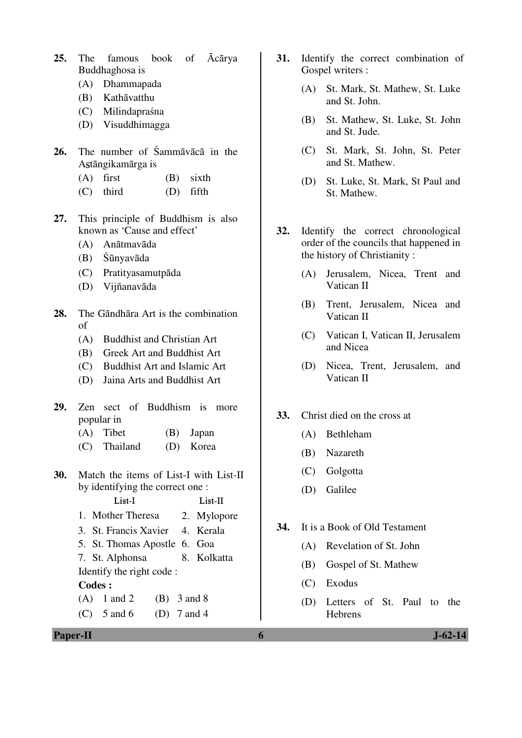- **25.** The famous book of Ācārya Buddhaghosa is
	- (A) Dhammapada
	- (B) Kathāvatthu
	- (C) Milindapraśna
	- (D) Visuddhimagga
- **26.** The number of Śammāvācā in the Astāngikamārga is
	- $(A)$  first  $(B)$  sixth
	- (C) third (D) fifth
- **27.** This principle of Buddhism is also known as 'Cause and effect'
	- (A) Anātmavāda
	- (B) Śūnyavāda
	- (C) Pratityasamutpāda
	- (D) Vijñanavāda
- **28.** The Gāndhāra Art is the combination of
	- (A) Buddhist and Christian Art
	- (B) Greek Art and Buddhist Art
	- (C) Buddhist Art and Islamic Art
	- (D) Jaina Arts and Buddhist Art
- **29.** Zen sect of Buddhism is more popular in
	- (A) Tibet (B) Japan
	- (C) Thailand (D) Korea
- **30.** Match the items of List-I with List-II by identifying the correct one :
	- List-I List-II 1. Mother Theresa 2. Mylopore
	- 3. St. Francis Xavier 4. Kerala
	- 5. St. Thomas Apostle 6. Goa
	- 7. St. Alphonsa 8. Kolkatta Identify the right code :

### **Codes :**

- (A)  $1$  and  $2$  (B)  $3$  and  $8$
- (C)  $5 \text{ and } 6$  (D)  $7 \text{ and } 4$
- **31.** Identify the correct combination of Gospel writers :
	- (A) St. Mark, St. Mathew, St. Luke and St. John.
	- (B) St. Mathew, St. Luke, St. John and St. Jude.
	- (C) St. Mark, St. John, St. Peter and St. Mathew.
	- (D) St. Luke, St. Mark, St Paul and St. Mathew.
- **32.** Identify the correct chronological order of the councils that happened in the history of Christianity :
	- (A) Jerusalem, Nicea, Trent and Vatican II
	- (B) Trent, Jerusalem, Nicea and Vatican II
	- (C) Vatican I, Vatican II, Jerusalem and Nicea
	- (D) Nicea, Trent, Jerusalem, and Vatican II
- **33.** Christ died on the cross at
	- (A) Bethleham
	- (B) Nazareth
	- (C) Golgotta
	- (D) Galilee
- **34.** It is a Book of Old Testament
	- (A) Revelation of St. John
	- (B) Gospel of St. Mathew
	- (C) Exodus
	- (D) Letters of St. Paul to the Hebrens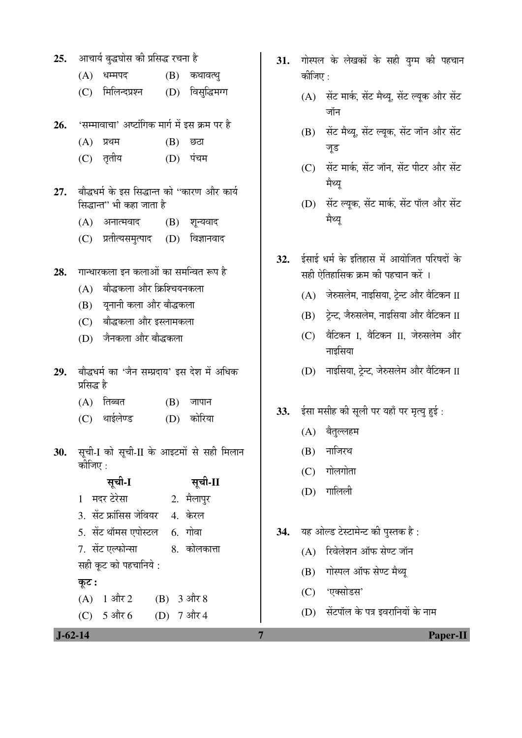- 25. आचार्य बुद्धघोस की प्रसिद्ध रचना है
	- (A) धम्मपद (B) कथावत्थ्
	- (C) मिलिन्दप्रश्न (D) विसद्धिमग्ग
- 26. 'सम्मावाचा' अष्टांगिक मार्ग में इस क्रम पर है
	- $(A)$  ਸ਼ੁथम  $(B)$  छठा
	- (C) ŸÖéŸÖßµÖ (D) ¯ÖÓ"Ö´Ö
- 27. बौद्धधर्म के इस सिद्धान्त को "कारण और कार्य सिद्धान्त'' भी कहा जाता है
	- $(A)$  अनात्मवाद  $(B)$  शुन्यवाद
	- (C) प्रतीत्यसमुत्पाद (D) विज्ञानवाद
- 28. Interation in the only in the fact to
	- $(A)$  बौद्धकला और क्रिश्चियनकला
	- (B) यनानी कला और बौद्धकला
	- (C) बौद्धकला और इस्लामकला
	- (D) जैनकला और बौद्धकला
- 29. बौद्धधर्म का 'जैन सम्प्रदाय' इस देश में अधिक प्रसिद्ध है
	- $(A)$  तिब्बत  $(B)$  जापान
	- (C) थाईलेण्ड (D) कोरिया
- 30. सृची-I को सृची-II के आइटमों से सही मिलान कीजिए $\cdot$

| सूची-I                  | सूची-II        |
|-------------------------|----------------|
| 1 मदर टेरेसा            | 2. मैलापुर     |
| 3. सेंट फ्रांसिस जेवियर | 4. केरल        |
| 5. सेंट थॉमस एपोस्टल    | <u>6. गोवा</u> |
| 7. सेंट एल्फोन्सा       | 8. कोलकात्ता   |
| सही कूट को पहचानिये :   |                |
| कूट :                   |                |
| $(A)$ 1 और 2            | (B) 3 और 8     |
| المستشد المسادون        | $\overline{a}$ |

- (C) 5  $3\frac{1}{10}$  6 (D) 7  $3\frac{1}{10}$  4
- **J-62-14 7 Paper-II**
- 31. गोस्पल के लेखकों के सही युग्म की पहचान कीजिए :
	- $(A)$  सेंट मार्क, सेंट मैथ्यू, सेंट ल्यूक और सेंट जॉन
	- $(B)$  सेंट मैथ्यू, सेंट ल्यूक, सेंट जॉन और सेंट जुड
	- $(C)$  सेंट मार्क, सेंट जॉन, सेंट पीटर और सेंट मैथ्य
	- (D) सेंट ल्युक, सेंट मार्क, सेंट पॉल और सेंट मैथ्य
- 32. ईसाई धर्म के इतिहास में आयोजित परिषदों के सही ऐतिहासिक कम की पहचान करें ।
	- $(A)$  जेरुसलेम, नाइसिया, ट्रेन्ट और वैटिकन II
	- $(B)$  टेन्ट, जैरुसलेम, नाइसिया और वैटिकन II
	- (C) वैटिकन I, वैटिकन II, जेरुसलेम और नाइसिया
	- $(D)$  नाइसिया, टेन्ट, जेरुसलेम और वैटिकन II
- 33. ईसा मसीह की सुली पर यहाँ पर मृत्यु हुई:
	- (A) बैतुल्लहम
	- $(B)$  नाजिरथ
	- $(C)$  गोलगोता
	- (D) गालिली
- 34. यह ओल्ड टेस्टामेन्ट की पुस्तक है:
	- $(A)$  रिवेलेशन ऑफ सेण्ट जॉन
	- (B) गोस्पल ऑफ सेण्ट मैथ्य
	- (C) 'एक्सोडस'
	- $(D)$  सेंटपॉल के पत्र इवरानियों के नाम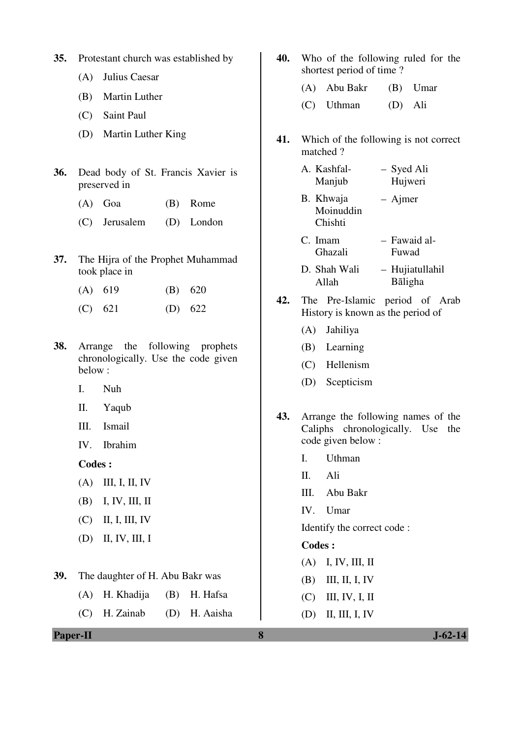- **35.** Protestant church was established by
	- (A) Julius Caesar
	- (B) Martin Luther
	- (C) Saint Paul
	- (D) Martin Luther King
- **36.** Dead body of St. Francis Xavier is preserved in
	- (A) Goa (B) Rome
	- (C) Jerusalem (D) London
- **37.** The Hijra of the Prophet Muhammad took place in
	- (A) 619 (B) 620
	- (C) 621 (D) 622
- **38.** Arrange the following prophets chronologically. Use the code given below :
	- I. Nuh
	- II. Yaqub
	- III. Ismail
	- IV. Ibrahim

 **Codes :**

- (A) III, I, II, IV
- (B) I, IV, III, II
- (C) II, I, III, IV
- (D) II, IV, III, I
- **39.** The daughter of H. Abu Bakr was
	- (A) H. Khadija (B) H. Hafsa
	- (C) H. Zainab (D) H. Aaisha
- **40.** Who of the following ruled for the shortest period of time ?
	- (A) Abu Bakr (B) Umar (C) Uthman (D) Ali
- **41.** Which of the following is not correct matched ?
	- A. Kashfal-Manjub – Syed Ali Hujweri
	- B. Khwaja Moinuddin Chishti – Ajmer
	- C. Imam Ghazali – Fawaid al-Fuwad
	- D. Shah Wali Allah – Hujiatullahil Bāligha
- **42.** The Pre-Islamic period of Arab History is known as the period of
	- (A) Jahiliya
	- (B) Learning
	- (C) Hellenism
	- (D) Scepticism
- **43.** Arrange the following names of the Caliphs chronologically. Use the code given below :
	- I. Uthman
	- II. Ali
	- III. Abu Bakr
	- IV. Umar

Identify the correct code :

#### **Codes :**

- (A) I, IV, III, II
- (B) III, II, I, IV
- (C) III, IV, I, II
- (D) II, III, I, IV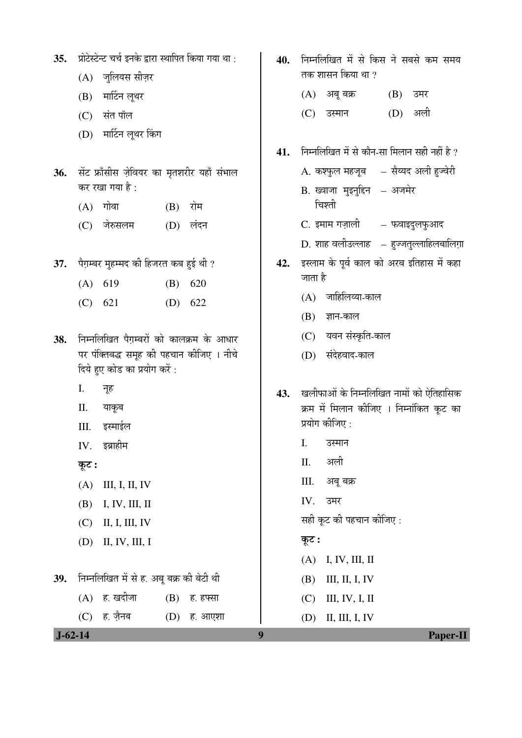- 35. प्रोटेस्टेन्ट चर्च इनके द्वारा स्थापित किया गया था :
	- $(A)$  जुलियस सीज़र
	- $(B)$  मार्टिन लृथर
	- (C) संत पॉल
	- (D) मार्टिन लुथर किंग
- 36. सेंट फ्राँसीस ज़ेवियर का मृतशरीर यहाँ संभाल कर रखा गया है:
	- $(A)$  गोवा  $(B)$  रोम
	- (C) जेरुसलम (D) लंदन
- 37. पैग़म्बर मुहम्मद की हिजरत कब हुई थी ?
	- (A) 619 (B) 620
	- (C) 621 (D) 622
- 38. निम्नलिखित पैगम्बरों को कालक्रम के आधार पर पंक्तिबद्ध समूह की पहचान कीजिए । नीचे दिये हुए कोड का प्रयोग करें :
	- I. नूह
	- II. याकूब
	- III. इस्माईल
	- $IV.$  इब्राहीम
	- $\overline{\phi}$ :
	- (A) III, I, II, IV
	- (B) I, IV, III, II
	- (C) II, I, III, IV
	- (D) II, IV, III, I
- 39. ਜਿਸ लिखित में से ह. अबू बक्र की बेटी थी  $(A)$  ह. खदीजा  $(B)$  ह. हफ्सा

(C) हे. ज़ैनब (D) हे. आएशा

- 40. ਜਿਸਕਿਰਿਕ ਸੇਂ से किस ने सबसे कम समय तक शासन किया था  $\imath$ 
	- $(A)$  अबू बक्र  $(B)$  उमर
	- (C) उस्मान (D) अली
- 41. निम्नलिखित में से कौन-सा मिलान सही नहीं है ?
	- A. कश्फुल महजूब सैय्यद अली हुज्वेरी
	- B. ख्वाजा मुइनु<mark>द्दिन अजमेर</mark> चिश्ती
	- C. इमाम गज़ाली फवाइदुलफुआद
	- D. शाह वलीउल्लाह हुज्जतुल्लाहिलबालिग़ा
- 42. इस्लाम के पूर्व काल को अरब इतिहास में कहा जाता है
	- $(A)$  जाहिलिय्या-काल
	- $(B)$  ज्ञान-काल
	- (C) यवन संस्कृति-काल
	- (D) संदेहवाद-काल
- 43. Tamanan & Framan and an Unita & क्रम में मिलान कीजिए । निम्नांकित कुट का प्रयोग कीजिए :
	- I. उस्मान
	- II. अली
	- III. अबू बक्र
	- IV. उमर
	- सही कूट की पहचान कीजिए :
	- कूट :
	- (A) I, IV, III, II
	- (B) III, II, I, IV
	- (C) III, IV, I, II
	- (D) II, III, I, IV

 **J-62-14 9 Paper-II**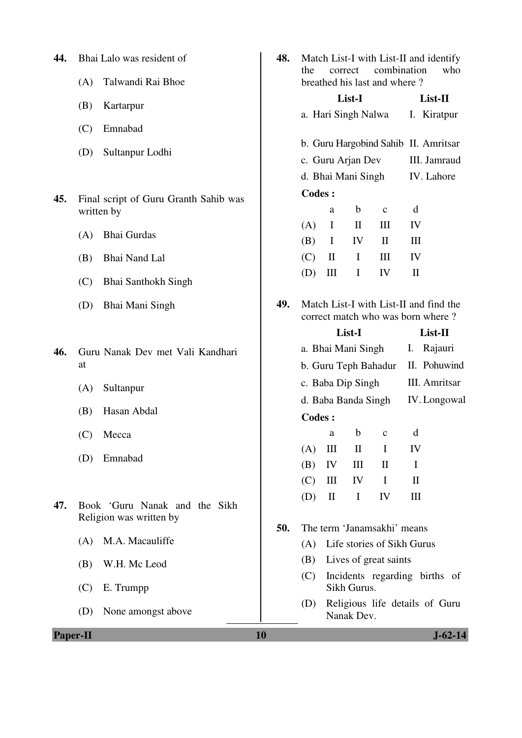| 44.             |     | Bhai Lalo was resident of                                | 48. | Match List-I with List-II and identify<br>combination<br>the<br>correct     |                             |                             |                              | who          |                                      |
|-----------------|-----|----------------------------------------------------------|-----|-----------------------------------------------------------------------------|-----------------------------|-----------------------------|------------------------------|--------------|--------------------------------------|
|                 | (A) | Talwandi Rai Bhoe                                        |     |                                                                             |                             |                             | breathed his last and where? |              |                                      |
|                 | (B) | Kartarpur                                                |     |                                                                             |                             | List-I                      |                              |              | List-II                              |
|                 |     |                                                          |     |                                                                             |                             | a. Hari Singh Nalwa         |                              |              | I. Kiratpur                          |
|                 | (C) | Emnabad                                                  |     |                                                                             |                             |                             |                              |              | b. Guru Hargobind Sahib II. Amritsar |
|                 | (D) | Sultanpur Lodhi                                          |     |                                                                             |                             | c. Guru Arjan Dev           |                              |              | III. Jamraud                         |
|                 |     |                                                          |     |                                                                             |                             | d. Bhai Mani Singh          |                              |              | IV. Lahore                           |
| 45.             |     | Final script of Guru Granth Sahib was                    |     | <b>Codes:</b>                                                               |                             |                             |                              |              |                                      |
|                 |     | written by                                               |     | (A)                                                                         | a<br>$\bf{I}$               | $\mathbf b$<br>$\mathbf{I}$ | $\mathbf{C}$<br>Ш            | d<br>IV      |                                      |
|                 | (A) | Bhai Gurdas                                              |     | (B)                                                                         | $\mathbf I$                 | IV                          | $\mathbf{I}$                 | III          |                                      |
|                 | (B) | <b>Bhai Nand Lal</b>                                     |     | (C)                                                                         | $\mathbf{I}$                | $\bf{I}$                    | III                          | IV           |                                      |
|                 | (C) | <b>Bhai Santhokh Singh</b>                               |     | (D)                                                                         | $\mathop{\rm III}\nolimits$ | $\mathbf I$                 | IV                           | $\mathbf{I}$ |                                      |
|                 | (D) | Bhai Mani Singh                                          | 49. | Match List-I with List-II and find the<br>correct match who was born where? |                             |                             |                              |              |                                      |
|                 |     |                                                          |     |                                                                             |                             | List-I                      |                              |              | List-II                              |
| 46.             |     | Guru Nanak Dev met Vali Kandhari                         |     |                                                                             |                             | a. Bhai Mani Singh          |                              | I.           | Rajauri                              |
|                 | at  |                                                          |     |                                                                             |                             |                             | b. Guru Teph Bahadur         |              | II. Pohuwind                         |
|                 | (A) | Sultanpur                                                |     |                                                                             |                             | c. Baba Dip Singh           |                              |              | III. Amritsar                        |
|                 | (B) | Hasan Abdal                                              |     |                                                                             |                             | d. Baba Banda Singh         |                              |              | IV. Longowal                         |
|                 |     |                                                          |     | <b>Codes:</b>                                                               |                             |                             |                              |              |                                      |
|                 | (C) | Mecca                                                    |     | (A)                                                                         | a<br>$\mathop{\rm III}$     | b<br>$\mathbf{I}$           | $\mathbf c$<br>Ι             | d<br>IV      |                                      |
|                 | (D) | Emnabad                                                  |     | (B)                                                                         | IV                          | Ш                           | $\mathbf{I}$                 | $\bf{I}$     |                                      |
|                 |     |                                                          |     | (C)                                                                         | Ш                           | IV                          | I                            | $\mathbf{I}$ |                                      |
| 47.             |     | Book 'Guru Nanak and the Sikh<br>Religion was written by |     | (D)                                                                         | $\mathop{\mathrm{II}}$      | I                           | IV                           | Ш            |                                      |
|                 |     |                                                          | 50. | The term 'Janamsakhi' means                                                 |                             |                             |                              |              |                                      |
|                 | (A) | M.A. Macauliffe                                          |     | (A)                                                                         |                             |                             | Life stories of Sikh Gurus   |              |                                      |
|                 | (B) | W.H. Mc Leod                                             |     | Lives of great saints<br>(B)                                                |                             |                             |                              |              |                                      |
|                 | (C) | E. Trumpp                                                |     | (C)                                                                         |                             | Sikh Gurus.                 |                              |              | Incidents regarding births of        |
|                 | (D) | None amongst above                                       |     | (D)                                                                         |                             | Nanak Dev.                  |                              |              | Religious life details of Guru       |
| <b>Paper-II</b> |     |                                                          | 10  |                                                                             |                             |                             |                              |              | $J - 62 - 14$                        |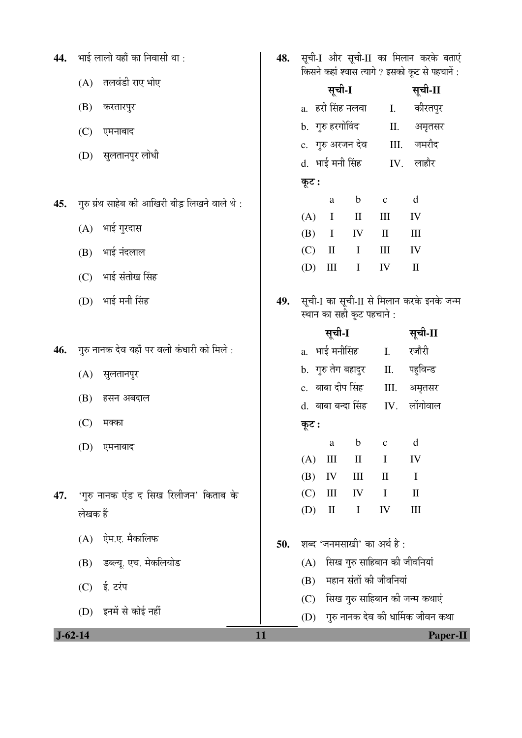| 44. | भाई लालो यहाँ का निवासी था :                   | 48. | सूची-I और सूची-II का मिलान करके बताएं<br>किसने कहां श्वास त्यागे ? इसको कूट से पहचानें : |                                                         |  |  |  |
|-----|------------------------------------------------|-----|------------------------------------------------------------------------------------------|---------------------------------------------------------|--|--|--|
|     | तलवंडी राए भोए<br>(A)                          |     | सूची-I                                                                                   | सूची-II                                                 |  |  |  |
|     | (B)<br>करतारपुर                                |     | a.   हरी सिंह नलवा                                                                       | कीरतपुर<br>Ι.                                           |  |  |  |
|     | (C)<br>एमनाबाद                                 |     | b. गुरु हरगोविंद                                                                         | П.<br>अमृतसर                                            |  |  |  |
|     | (D)<br>सुलतानपुर लोधी                          |     | c. गुरु अरजन देव                                                                         | जमरौद<br>III.                                           |  |  |  |
|     |                                                |     | d. भाई मनी सिंह                                                                          | लाहौर<br>IV.                                            |  |  |  |
|     |                                                |     | कूट :                                                                                    |                                                         |  |  |  |
| 45. | गुरु ग्रंथ साहेब की आखिरी बीड़ लिखने वाले थे : |     | $\mathbf b$<br>a                                                                         | $\mathbf d$<br>$\mathbf C$                              |  |  |  |
|     | भाई गुरदास<br>(A)                              |     | $\bf{I}$<br>$\mathbf{I}$<br>(A)<br>(B)<br>$\mathbf I$<br>IV                              | III<br>IV<br>$\mathbf{I}$<br>Ш                          |  |  |  |
|     | भाई नंदलाल<br>(B)                              |     | (C)<br>$\mathbf{I}$<br>$\bf{I}$                                                          | $\mathop{\rm III}\nolimits$<br>IV                       |  |  |  |
|     |                                                |     | (D)<br>$\rm III$<br>$\mathbf I$                                                          | IV<br>$\mathbf{I}$                                      |  |  |  |
|     | भाई संतोख सिंह<br>(C)                          |     |                                                                                          |                                                         |  |  |  |
|     | भाई मनी सिंह<br>(D)                            | 49. | स्थान का सही कूट पहचाने :                                                                | सूची-I का सूची-II से मिलान करके इनके जन्म               |  |  |  |
|     |                                                |     | सूची-I                                                                                   | सूची-II                                                 |  |  |  |
| 46. | गुरु नानक देव यहाँ पर वली कंधारी को मिले :     |     | a.  भाई मनीसिंह                                                                          | रजौरी<br>Ι.                                             |  |  |  |
|     | (A)<br>सुलतानपुर                               |     | b. गुरु तेग बहादुर                                                                       | पहुविन्ड<br>П.                                          |  |  |  |
|     | हसन अबदाल                                      |     | c. बाबा दीप सिंह                                                                         | Ш.<br>अमृतसर                                            |  |  |  |
|     | (B)                                            |     | d. बाबा बन्दा सिंह                                                                       | लोंगोवाल<br>IV.                                         |  |  |  |
|     | (C)<br>मक्का                                   |     | कूट :                                                                                    |                                                         |  |  |  |
|     | (D) एमनाबाद                                    |     | a a                                                                                      | b c<br>d                                                |  |  |  |
|     |                                                |     | (A)<br>Ш<br>$\mathbf{I}$                                                                 | $\bf{I}$<br>IV                                          |  |  |  |
| 47. | 'गुरु नानक एंड द सिख रिलीजन' किताब के          |     | (B)<br>IV<br>Ш<br>(C)<br>Ш<br>IV                                                         | $\mathbf{I}$<br>$\bf{I}$<br>$\mathbf I$<br>$\mathbf{I}$ |  |  |  |
|     | लेखक हैं                                       |     | (D)<br>$\mathop{\mathrm{II}}\nolimits$<br>$\mathbf I$                                    | IV<br>$\rm III$                                         |  |  |  |
|     |                                                |     |                                                                                          |                                                         |  |  |  |
|     | ऐम.ए. मैकालिफ<br>(A)                           | 50. | शब्द 'जनमसाखी' का अर्थ है :                                                              |                                                         |  |  |  |
|     | डब्ल्यू. एच. मेकलियोड<br>(B)                   |     | सिख गुरु साहिबान की जीवनियां<br>(A)                                                      |                                                         |  |  |  |
|     | ई. टरंप<br>(C)                                 |     | महान संतों की जीवनियां<br>(B)                                                            |                                                         |  |  |  |
|     | इनमें से कोई नहीं<br>(D)                       |     | (C)                                                                                      | सिख गुरु साहिबान की जन्म कथाएं                          |  |  |  |
|     |                                                |     | (D)                                                                                      | गुरु नानक देव की धार्मिक जीवन कथा                       |  |  |  |
|     | $J - 62 - 14$                                  | 11  |                                                                                          | Paper-II                                                |  |  |  |